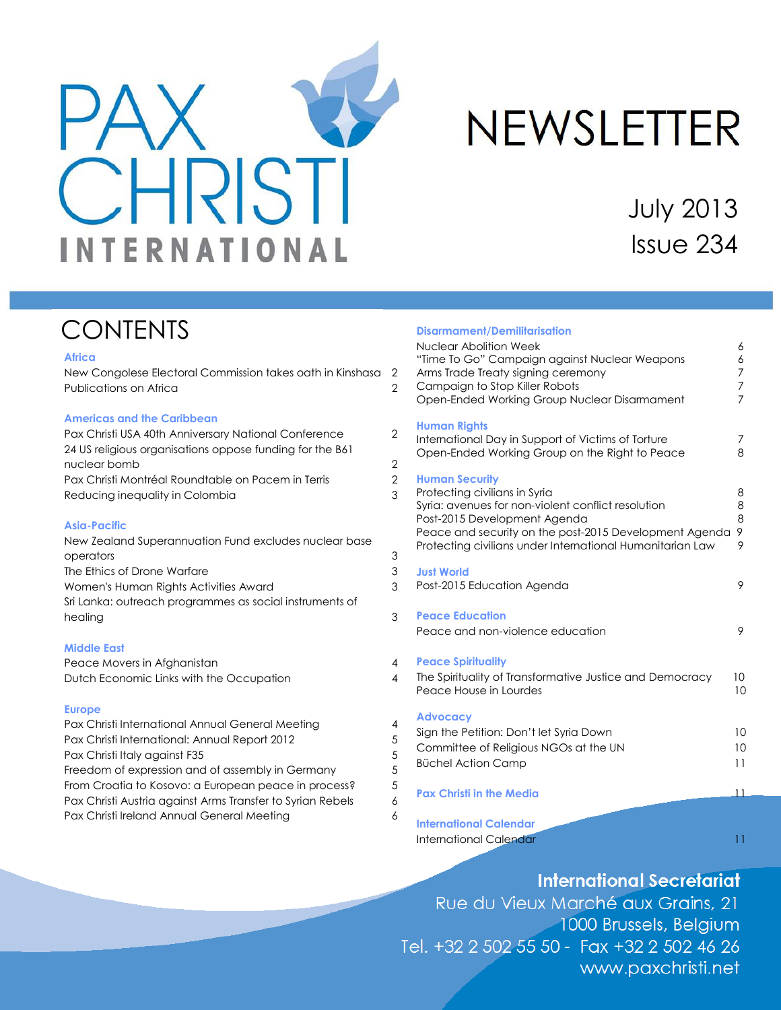<span id="page-0-0"></span>

# **NEWSLETTER**

July 2013 Issue 234

# **CONTENTS**

### **Africa**

New Congolese Electoral Commission takes oath in Kinshasa 2 Publications on Africa 2

#### **Americas and the Caribbean**

Pax Christi USA 40th Anniversary National Conference 2 24 US religious organisations oppose funding for the B61 nuclear bomb 2 Pax Christi Montréal Roundtable on Pacem in Terris 2 Reducing inequality in Colombia 3

### **Asia-Pacific**

New Zealand Superannuation Fund excludes nuclear base operators 3 The Ethics of Drone Warfare 3 Women's Human Rights Activities Award 3 Sri Lanka: outreach programmes as social instruments of healing 3

### **Middle East**

Peace Movers in Afghanistan 4 Dutch Economic Links with the Occupation 4

### **Europe**

Pax Christi International Annual General Meeting 4 Pax Christi International: Annual Report 2012 Pax Christi Italy against F35 5 Freedom of expression and of assembly in Germany 5 From Croatia to Kosovo: a European peace in process?  $5$ Pax Christi Austria against Arms Transfer to Syrian Rebels 6 Pax Christi Ireland Annual General Meeting 6

| <b>Disarmament/Demilitarisation</b><br><b>Nuclear Abolition Week</b><br>"Time To Go" Campaign against Nuclear Weapons<br>Arms Trade Treaty signing ceremony<br>Campaign to Stop Killer Robots<br>Open-Ended Working Group Nuclear Disarmament                       | 6<br>6<br>7<br>7<br>$\overline{7}$ |
|---------------------------------------------------------------------------------------------------------------------------------------------------------------------------------------------------------------------------------------------------------------------|------------------------------------|
| <b>Human Rights</b><br>International Day in Support of Victims of Torture<br>Open-Ended Working Group on the Right to Peace                                                                                                                                         | 7<br>8                             |
| <b>Human Security</b><br>Protecting civilians in Syria<br>Syria: avenues for non-violent conflict resolution<br>Post-2015 Development Agenda<br>Peace and security on the post-2015 Development Agenda<br>Protecting civilians under International Humanitarian Law | 8<br>8<br>8<br>9<br>9              |
| <b>Just World</b><br>Post-2015 Education Agenda                                                                                                                                                                                                                     | 9                                  |
| <b>Peace Education</b><br>Peace and non-violence education                                                                                                                                                                                                          | 9                                  |
| <b>Peace Spirituality</b><br>The Spirituality of Transformative Justice and Democracy<br>Peace House in Lourdes                                                                                                                                                     | 10<br>10                           |
| <b>Advocacy</b><br>Sign the Petition: Don't let Syria Down<br>Committee of Religious NGOs at the UN<br><b>Büchel Action Camp</b>                                                                                                                                    | 10<br>10<br>11                     |
| <b>Pax Christi in the Media</b>                                                                                                                                                                                                                                     | $\overline{11}$                    |
| <b>International Calendar</b><br><b>International Calendar</b>                                                                                                                                                                                                      | $\overline{11}$                    |

# **International Secretariat**

Rue du Vieux Marché aux Grains, 21 1000 Brussels, Belgium Tel. +32 2 502 55 50 - Fax +32 2 502 46 26 www.paxchristi.net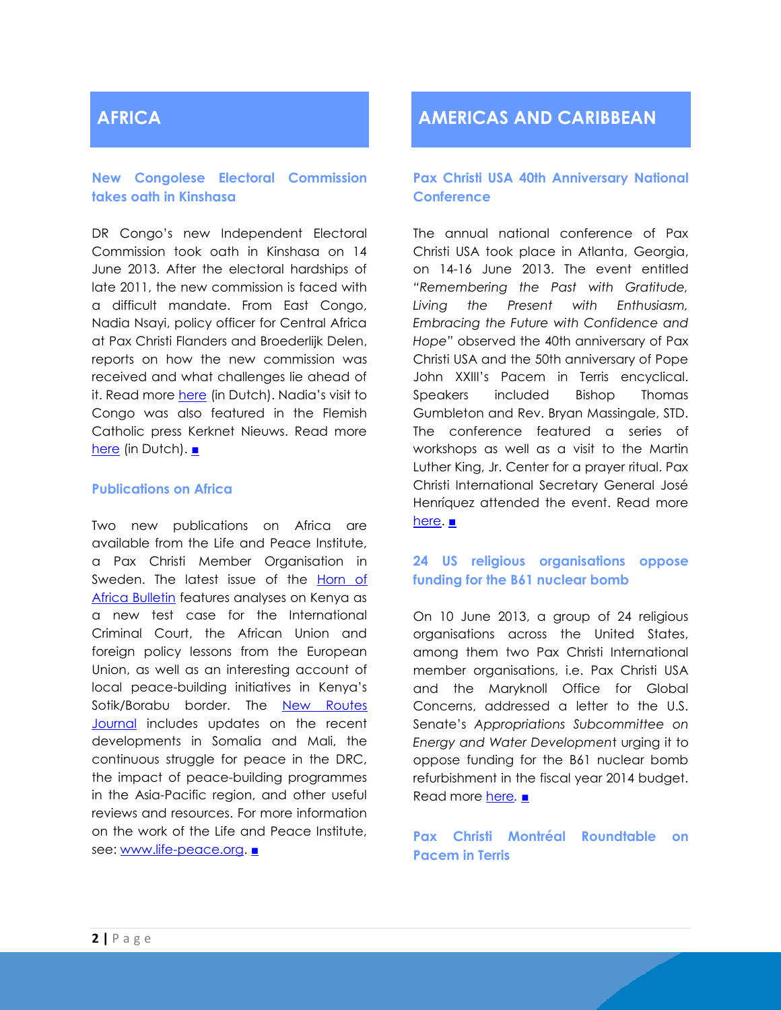# **AFRICA**

### **New Congolese Electoral Commission takes oath in Kinshasa**

DR Congo's new Independent Electoral Commission took oath in Kinshasa on 14 June 2013. After the electoral hardships of late 2011, the new commission is faced with a difficult mandate. From East Congo, Nadia Nsayi, policy officer for Central Africa at Pax Christi Flanders and Broederlijk Delen, reports on how the new commission was received and what challenges lie ahead of it. Read more [here](http://www.paxchristi.be/wp/wp-content/uploads/2013/06/kiescommissie-QA-2013-06-17.pdf) (in Dutch). Nadia's visit to Congo was also featured in the Flemish Catholic press Kerknet Nieuws. Read more [here](http://www.kerknet.be/actua/nieuws_detail.php?nieuwsID=115584) (in Dutch). [■](#page-0-0)

### **Publications on Africa**

Two new publications on Africa are available from the Life and Peace Institute, a Pax Christi Member Organisation in Sweden. The latest issue of the Horn of [Africa Bulletin](http://archive.paxchristi.net/2013/2013-0273-en-af-GE.pdf) features analyses on Kenya as a new test case for the International Criminal Court, the African Union and foreign policy lessons from the European Union, as well as an interesting account of local peace-building initiatives in Kenya's Sotik/Borabu border. The [New Routes](http://archive.paxchristi.net/2013/2013-0271-en-eu-NT.pdf)  [Journal](http://archive.paxchristi.net/2013/2013-0271-en-eu-NT.pdf) includes updates on the recent developments in Somalia and Mali, the continuous struggle for peace in the DRC, the impact of peace-building programmes in the Asia-Pacific region, and other useful reviews and resources. For more information on the work of the Life and Peace Institute, see: [www.life-peace.org.](http://www.life-peace.org/) [■](#page-0-0)

# **AMERICAS AND CARIBBEAN**

### **Pax Christi USA 40th Anniversary National Conference**

The annual national conference of Pax Christi USA took place in Atlanta, Georgia, on 14-16 June 2013. The event entitled *"Remembering the Past with Gratitude, Living the Present with Enthusiasm, Embracing the Future with Confidence and Hope"* observed the 40th anniversary of Pax Christi USA and the 50th anniversary of Pope John XXIII's Pacem in Terris encyclical. Speakers included Bishop Thomas Gumbleton and Rev. Bryan Massingale, STD. The conference featured a series of workshops as well as a visit to the Martin Luther King, Jr. Center for a prayer ritual. Pax Christi International Secretary General José Henríquez attended the event. Read more [here.](http://paxchristiusa.org/programs/national-conference-2013/) [■](#page-0-0)

### **24 US religious organisations oppose funding for the B61 nuclear bomb**

On 10 June 2013, a group of 24 religious organisations across the United States, among them two Pax Christi International member organisations, i.e. Pax Christi USA and the Maryknoll Office for Global Concerns, addressed a letter to the U.S. Senate's *Appropriations Subcommittee on Energy and Water Developmen*t urging it to oppose funding for the B61 nuclear bomb refurbishment in the fiscal year 2014 budget. Read more [here](http://archive.paxchristi.net/2013/2013-0274-en-am-AC.pdf). [■](#page-0-0)

### **Pax Christi Montréal Roundtable on Pacem in Terris**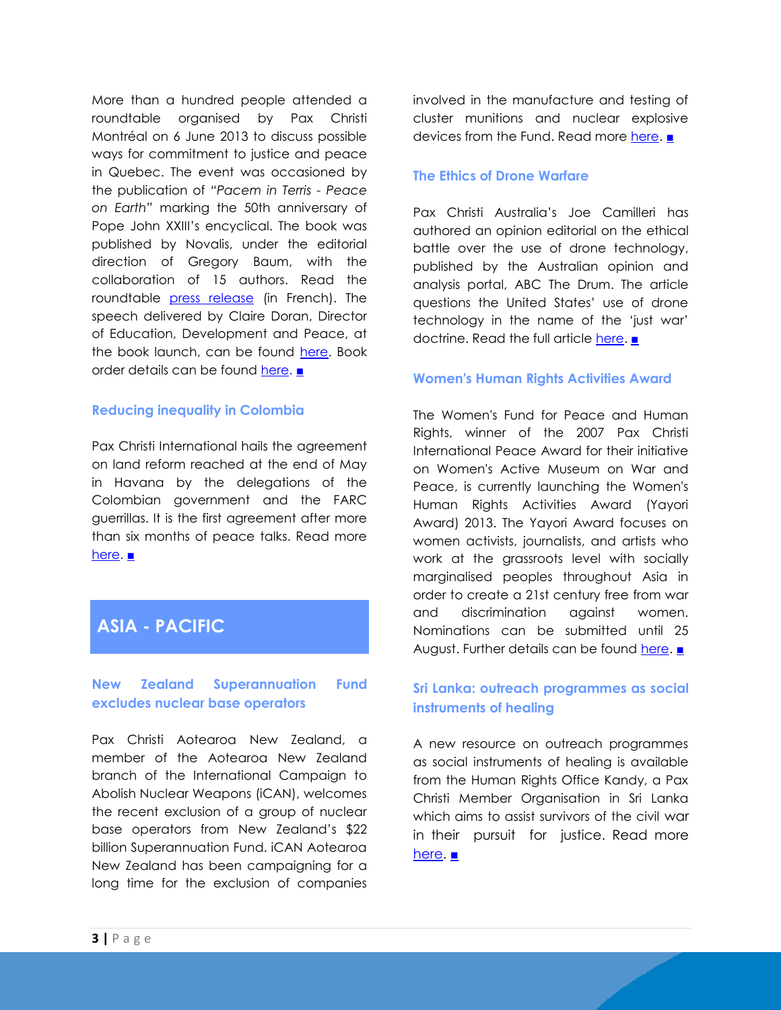More than a hundred people attended a roundtable organised by Pax Christi Montréal on 6 June 2013 to discuss possible ways for commitment to justice and peace in Quebec. The event was occasioned by the publication of *"Pacem in Terris - Peace on Earth"* marking the 50th anniversary of Pope John XXIII's encyclical. The book was published by Novalis, under the editorial direction of Gregory Baum, with the collaboration of 15 authors. Read the roundtable [press release](http://archive.paxchristi.net/2013/2013-0266-fr-am-PS.pdf) (in French). The speech delivered by Claire Doran, Director of Education, Development and Peace, at the book launch, can be found [here.](http://archive.paxchristi.net/2013/2013-0263-fr-eu-PS.pdf) Book order details can be found [here.](http://archive.paxchristi.net/2013/2013-0259-fr-am-PS.pdf) ■

### **Reducing inequality in Colombia**

Pax Christi International hails the agreement on land reform reached at the end of May in Havana by the delegations of the Colombian government and the FARC guerrillas. It is the first agreement after more than six months of peace talks. Read more [here.](http://www.nytimes.com/2013/05/27/world/americas/colombian-peace-talks-bear-fruit.html?_r=3&) [■](#page-0-0)

# **ASIA - PACIFIC**

### **New Zealand Superannuation Fund excludes nuclear base operators**

Pax Christi Aotearoa New Zealand, a member of the Aotearoa New Zealand branch of the International Campaign to Abolish Nuclear Weapons (iCAN), welcomes the recent exclusion of a group of nuclear base operators from New Zealand's \$22 billion Superannuation Fund. iCAN Aotearoa New Zealand has been campaigning for a long time for the exclusion of companies

involved in the manufacture and testing of cluster munitions and nuclear explosive devices from the Fund. Read more [here.](http://www.nonukes.nl/en/news/new-zealand-superannuation-fund-excludes-nuclear-base-operators) [■](#page-0-0)

### **The Ethics of Drone Warfare**

Pax Christi Australia's Joe Camilleri has authored an opinion editorial on the ethical battle over the use of drone technology, published by the Australian opinion and analysis portal, ABC The Drum. The article questions the United States' use of drone technology in the name of the 'just war' doctrine. Read the full article [here.](http://www.abc.net.au/unleashed/4720046.html) [■](#page-0-0)

### **Women's Human Rights Activities Award**

The Women's Fund for Peace and Human Rights, winner of the 2007 Pax Christi International Peace Award for their initiative on Women's Active Museum on War and Peace, is currently launching the Women's Human Rights Activities Award (Yayori Award) 2013. The Yayori Award focuses on women activists, journalists, and artists who work at the grassroots level with socially marginalised peoples throughout Asia in order to create a 21st century free from war and discrimination against women. Nominations can be submitted until 25 August. Further details can be found [here.](http://www.wfphr.org/yayori/English/top.html) [■](#page-0-0)

### **Sri Lanka: outreach programmes as social instruments of healing**

A new resource on outreach programmes as social instruments of healing is available from the Human Rights Office Kandy, a Pax Christi Member Organisation in Sri Lanka which aims to assist survivors of the civil war in their pursuit for justice. Read more [here.](http://archive.paxchristi.net/2013/2013-0275-en-ap-PB.pdf) [■](#page-0-0)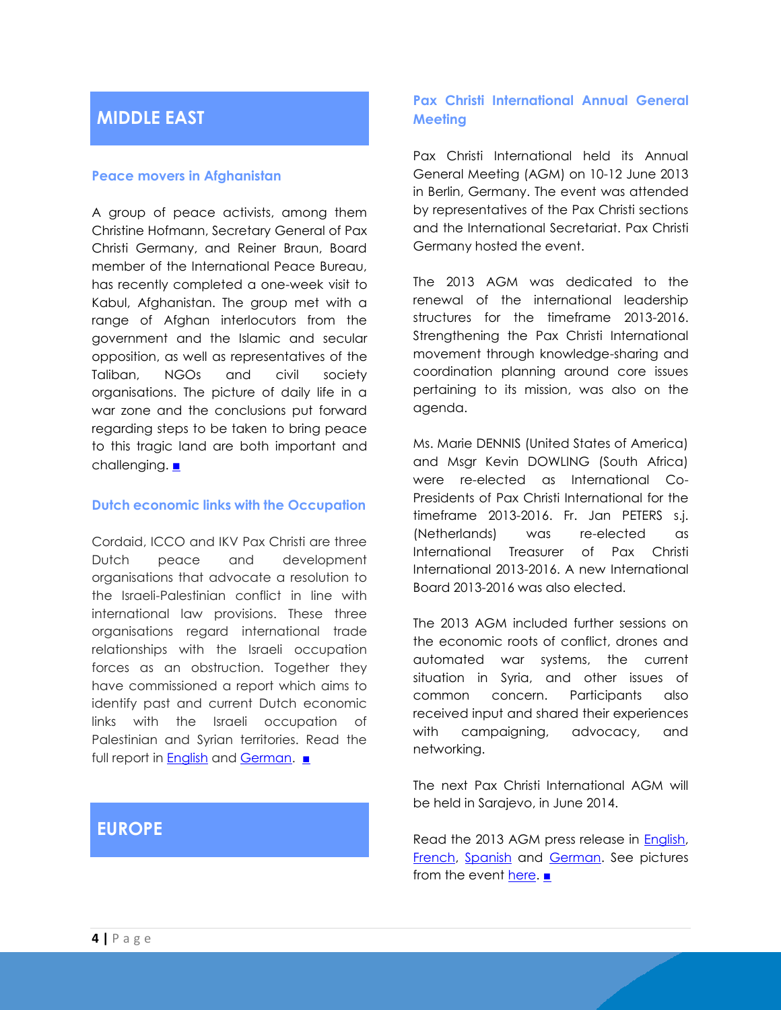# **MIDDLE EAST**

### **Peace movers in Afghanistan**

A group of peace activists, among them Christine Hofmann, Secretary General of Pax Christi Germany, and Reiner Braun, Board member of the International Peace Bureau, has recently completed a one-week visit to Kabul, Afghanistan. The group met with a range of Afghan interlocutors from the government and the Islamic and secular opposition, as well as representatives of the Taliban, NGOs and civil society organisations. The picture of daily life in a war zone and the conclusions put forward regarding steps to be taken to bring peace to this tragic land are both important and challenging. [■](#page-0-0)

### **Dutch economic links with the Occupation**

Cordaid, ICCO and IKV Pax Christi are three Dutch peace and development organisations that advocate a resolution to the Israeli-Palestinian conflict in line with international law provisions. These three organisations regard international trade relationships with the Israeli occupation forces as an obstruction. Together they have commissioned a report which aims to identify past and current Dutch economic links with the Israeli occupation of Palestinian and Syrian territories. Read the full report in [English](http://www.icco.nl/nl/linkservid/1D72A8EA-B208-3BF1-34E2972CD36E4613/) and [German.](http://archive.paxchristi.net/2013/2013-0195-de-me-HR.pdf) [■](#page-0-0)

# **EUROPE**

### **Pax Christi International Annual General Meeting**

Pax Christi International held its Annual General Meeting (AGM) on 10-12 June 2013 in Berlin, Germany. The event was attended by representatives of the Pax Christi sections and the International Secretariat. Pax Christi Germany hosted the event.

The 2013 AGM was dedicated to the renewal of the international leadership structures for the timeframe 2013-2016. Strengthening the Pax Christi International movement through knowledge-sharing and coordination planning around core issues pertaining to its mission, was also on the agenda.

Ms. Marie DENNIS (United States of America) and Msgr Kevin DOWLING (South Africa) were re-elected as International Co-Presidents of Pax Christi International for the timeframe 2013-2016. Fr. Jan PETERS s.j. (Netherlands) was re-elected as International Treasurer of Pax Christi International 2013-2016. A new International Board 2013-2016 was also elected.

The 2013 AGM included further sessions on the economic roots of conflict, drones and automated war systems, the current situation in Syria, and other issues of common concern. Participants also received input and shared their experiences with campaigning, advocacy, and networking.

The next Pax Christi International AGM will be held in Sarajevo, in June 2014.

Read the 2013 AGM press release in **English**, [French,](http://archive.paxchristi.net/2013/2013-0277-fr-eu-GE.pdf) [Spanish](http://archive.paxchristi.net/2013/2013-0279-es-eu-GE.pdf) and [German.](http://archive.paxchristi.net/2013/2013-0280-de-eu-GE.pdf) See pictures from the event [here.](http://www.flickr.com/photos/paxchristi_int/sets/72157634160837817/) [■](#page-0-0)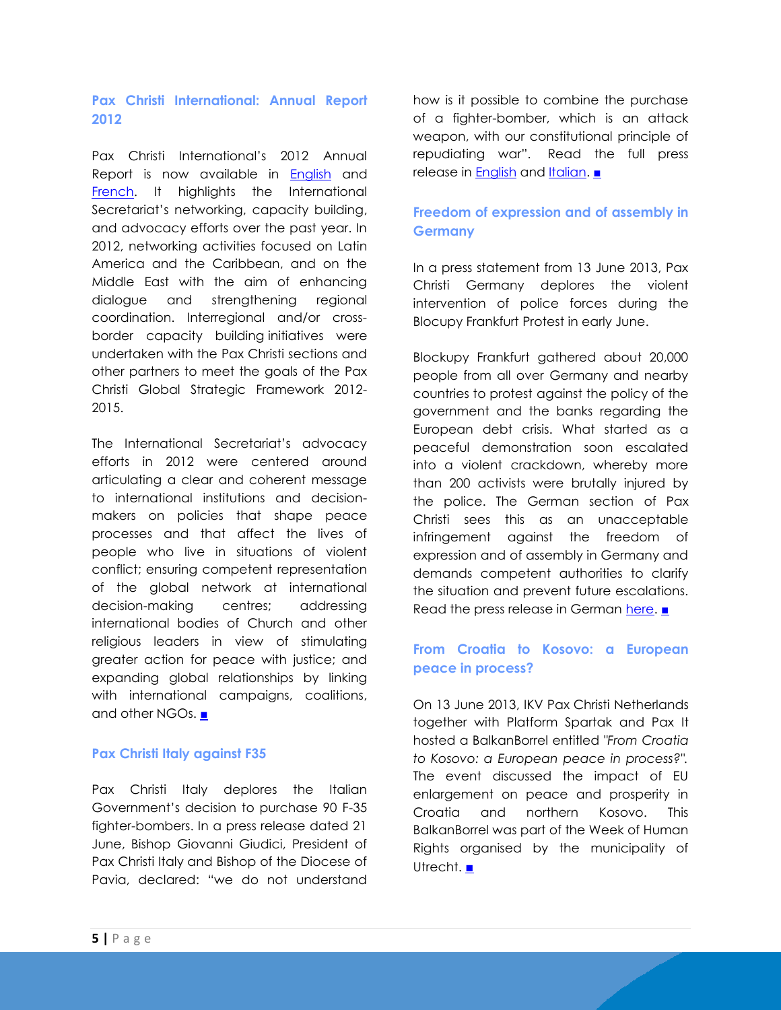### **Pax Christi International: Annual Report 2012**

Pax Christi International's 2012 Annual Report is now available in [English](http://archive.paxchristi.net/2013/2013-0268-en-gl-IS.pdf) and [French.](http://archive.paxchristi.net/2013/2013-0269-fr-gl-IS.pdf) It highlights the International Secretariat's networking, capacity building, and advocacy efforts over the past year. In 2012, networking activities focused on Latin America and the Caribbean, and on the Middle East with the aim of enhancing dialogue and strengthening regional coordination. Interregional and/or crossborder capacity building initiatives were undertaken with the Pax Christi sections and other partners to meet the goals of the Pax Christi Global Strategic Framework 2012- 2015.

The International Secretariat's advocacy efforts in 2012 were centered around articulating a clear and coherent message to international institutions and decisionmakers on policies that shape peace processes and that affect the lives of people who live in situations of violent conflict; ensuring competent representation of the global network at international decision-making centres; addressing international bodies of Church and other religious leaders in view of stimulating greater action for peace with justice; and expanding global relationships by linking with international campaigns, coalitions, and other NGOs. [■](#page-0-0)

### **Pax Christi Italy against F35**

Pax Christi Italy deplores the Italian Government's decision to purchase 90 F-35 fighter-bombers. In a press release dated 21 June, Bishop Giovanni Giudici, President of Pax Christi Italy and Bishop of the Diocese of Pavia, declared: "we do not understand

how is it possible to combine the purchase of a fighter-bomber, which is an attack weapon, with our constitutional principle of repudiating war". Read the full press release in [English](http://www.paxchristi.net/sites/default/files/documents/paxchristiitalyf35.pdf) and [Italian.](http://www.paxchristi.it/?p=7417) [■](#page-0-0)

### **Freedom of expression and of assembly in Germany**

In a press statement from 13 June 2013, Pax Christi Germany deplores the violent intervention of police forces during the Blocupy Frankfurt Protest in early June.

Blockupy Frankfurt gathered about 20,000 people from all over Germany and nearby countries to protest against the policy of the government and the banks regarding the European debt crisis. What started as a peaceful demonstration soon escalated into a violent crackdown, whereby more than 200 activists were brutally injured by the police. The German section of Pax Christi sees this as an unacceptable infringement against the freedom of expression and of assembly in Germany and demands competent authorities to clarify the situation and prevent future escalations. Read the press release in German [here.](http://www.paxchristi.de/fix/files/doc/pax%20christi%20sieht%20Meinungs-%20und%20Versammlungsfreiheit%20in%20Gefahr%2013062013.pdf) [■](#page-0-0)

### **From Croatia to Kosovo: a European peace in process?**

On 13 June 2013, IKV Pax Christi Netherlands together with Platform Spartak and Pax It hosted a BalkanBorrel entitled *"From Croatia to Kosovo: a European peace in process?".* The event discussed the impact of EU enlargement on peace and prosperity in Croatia and northern Kosovo. This BalkanBorrel was part of the Week of Human Rights organised by the municipality of Utrecht. [■](#page-0-0)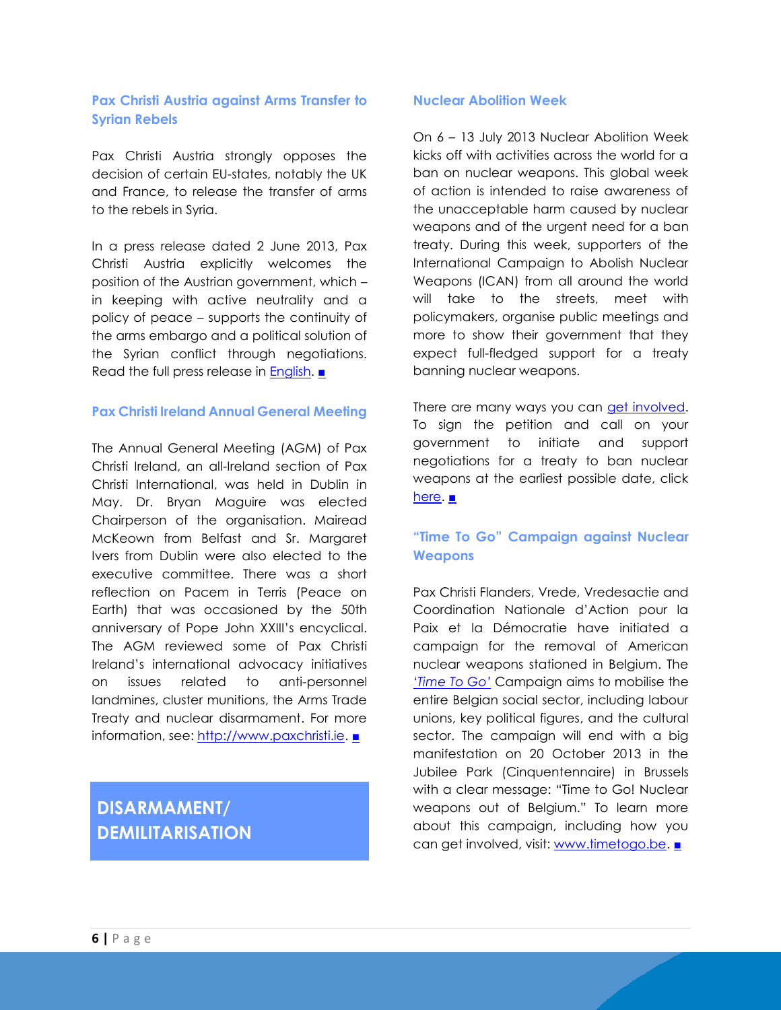### **Pax Christi Austria against Arms Transfer to Syrian Rebels**

Pax Christi Austria strongly opposes the decision of certain EU-states, notably the UK and France, to release the transfer of arms to the rebels in Syria.

In a press release dated 2 June 2013, Pax Christi Austria explicitly welcomes the position of the Austrian government, which – in keeping with active neutrality and a policy of peace – supports the continuity of the arms embargo and a political solution of the Syrian conflict through negotiations. Read the full press release in **English.** [■](#page-0-0)

### **Pax Christi Ireland Annual General Meeting**

The Annual General Meeting (AGM) of Pax Christi Ireland, an all-Ireland section of Pax Christi International, was held in Dublin in May. Dr. Bryan Maguire was elected Chairperson of the organisation. Mairead McKeown from Belfast and Sr. Margaret Ivers from Dublin were also elected to the executive committee. There was a short reflection on Pacem in Terris (Peace on Earth) that was occasioned by the 50th anniversary of Pope John XXIII's encyclical. The AGM reviewed some of Pax Christi Ireland's international advocacy initiatives on issues related to anti-personnel landmines, cluster munitions, the Arms Trade Treaty and nuclear disarmament. For more information, see: [http://www.paxchristi.ie.](http://www.paxchristi.ie/) [■](#page-0-0)

# **DISARMAMENT/ DEMILITARISATION**

### **Nuclear Abolition Week**

On 6 – 13 July 2013 Nuclear Abolition Week kicks off with activities across the world for a ban on nuclear weapons. This global week of action is intended to raise awareness of the unacceptable harm caused by nuclear weapons and of the urgent need for a ban treaty. During this week, supporters of the International Campaign to Abolish Nuclear Weapons (ICAN) from all around the world will take to the streets, meet with policymakers, organise public meetings and more to show their government that they expect full-fledged support for a treaty banning nuclear weapons.

There are many ways you can [get involved.](http://www.icanw.org/nuclear-abolition-week-2/what-is-nuclear-abolition-week/) To sign the petition and call on your government to initiate and support negotiations for a treaty to ban nuclear weapons at the earliest possible date, click [here.](http://www.goodbyenuk.es/petitions/new) <u>[■](#page-0-0)</u>

### **"Time To Go" Campaign against Nuclear Weapons**

Pax Christi Flanders, Vrede, Vredesactie and Coordination Nationale d'Action pour la Paix et la Démocratie have initiated a campaign for the removal of American nuclear weapons stationed in Belgium. The *'Time [To Go'](http://archive.paxchristi.net/2013/2013-0285-en-gl-SD.pdf)* Campaign aims to mobilise the entire Belgian social sector, including labour unions, key political figures, and the cultural sector. The campaign will end with a big manifestation on 20 October 2013 in the Jubilee Park (Cinquentennaire) in Brussels with a clear message: "Time to Go! Nuclear weapons out of Belgium." To learn more about this campaign, including how you can get involved, visit: [www.timetogo.be.](http://www.timetogo.be/) [■](#page-0-0)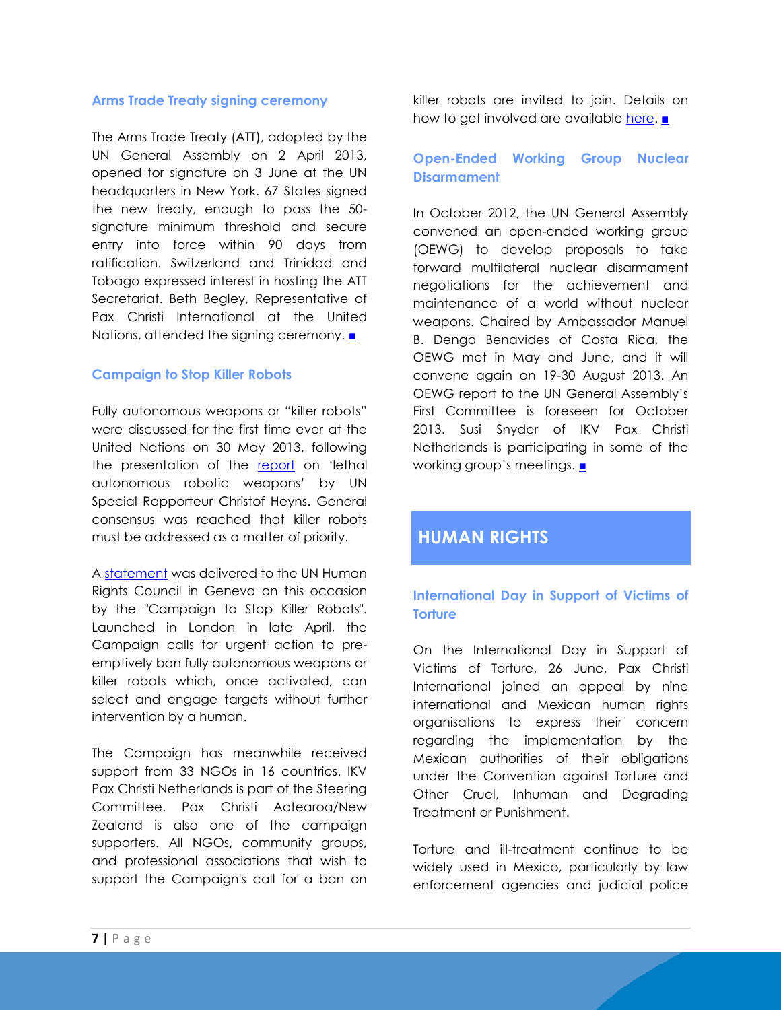### **Arms Trade Treaty signing ceremony**

The Arms Trade Treaty (ATT), adopted by the UN General Assembly on 2 April 2013, opened for signature on 3 June at the UN headquarters in New York. 67 States signed the new treaty, enough to pass the 50 signature minimum threshold and secure entry into force within 90 days from ratification. Switzerland and Trinidad and Tobago expressed interest in hosting the ATT Secretariat. Beth Begley, Representative of Pax Christi International at the United Nations, attended the signing ceremony. [■](#page-0-0)

### **Campaign to Stop Killer Robots**

Fully autonomous weapons or "killer robots" were discussed for the first time ever at the United Nations on 30 May 2013, following the presentation of the [report](http://www.ohchr.org/Documents/HRBodies/HRCouncil/RegularSession/Session23/A-HRC-23-47_en.pdf) on 'lethal autonomous robotic weapons' by UN Special Rapporteur Christof Heyns. General consensus was reached that killer robots must be addressed as a matter of priority.

A [statement](http://www.stopkillerrobots.org/wp-content/uploads/2013/05/KRC_StatementHRC_30May2013_DELIVERED.pdf) was delivered to the UN Human Rights Council in Geneva on this occasion by the "Campaign to Stop Killer Robots". Launched in London in late April, the Campaign calls for urgent action to preemptively ban fully autonomous weapons or killer robots which, once activated, can select and engage targets without further intervention by a human.

The Campaign has meanwhile received support from 33 NGOs in 16 countries. IKV Pax Christi Netherlands is part of the Steering Committee. Pax Christi Aotearoa/New Zealand is also one of the campaign supporters. All NGOs, community groups, and professional associations that wish to support the Campaign's call for a ban on killer robots are invited to join. Details on how to get involved are available [here.](http://www.stopkillerrobots.org/act/) [■](#page-0-0)

### **Open-Ended Working Group Nuclear Disarmament**

In October 2012, the UN General Assembly convened an open-ended working group (OEWG) to develop proposals to take forward multilateral nuclear disarmament negotiations for the achievement and maintenance of a world without nuclear weapons. Chaired by Ambassador Manuel B. Dengo Benavides of Costa Rica, the OEWG met in May and June, and it will convene again on 19-30 August 2013. An OEWG report to the UN General Assembly's First Committee is foreseen for October 2013. Susi Snyder of IKV Pax Christi Netherlands is participating in some of the working group's meetings. [■](#page-0-0)

## **HUMAN RIGHTS**

### **International Day in Support of Victims of Torture**

On the International Day in Support of Victims of Torture, 26 June, Pax Christi International joined an appeal by nine international and Mexican human rights organisations to express their concern regarding the implementation by the Mexican authorities of their obligations under the Convention against Torture and Other Cruel, Inhuman and Degrading Treatment or Punishment.

Torture and ill-treatment continue to be widely used in Mexico, particularly by law enforcement agencies and judicial police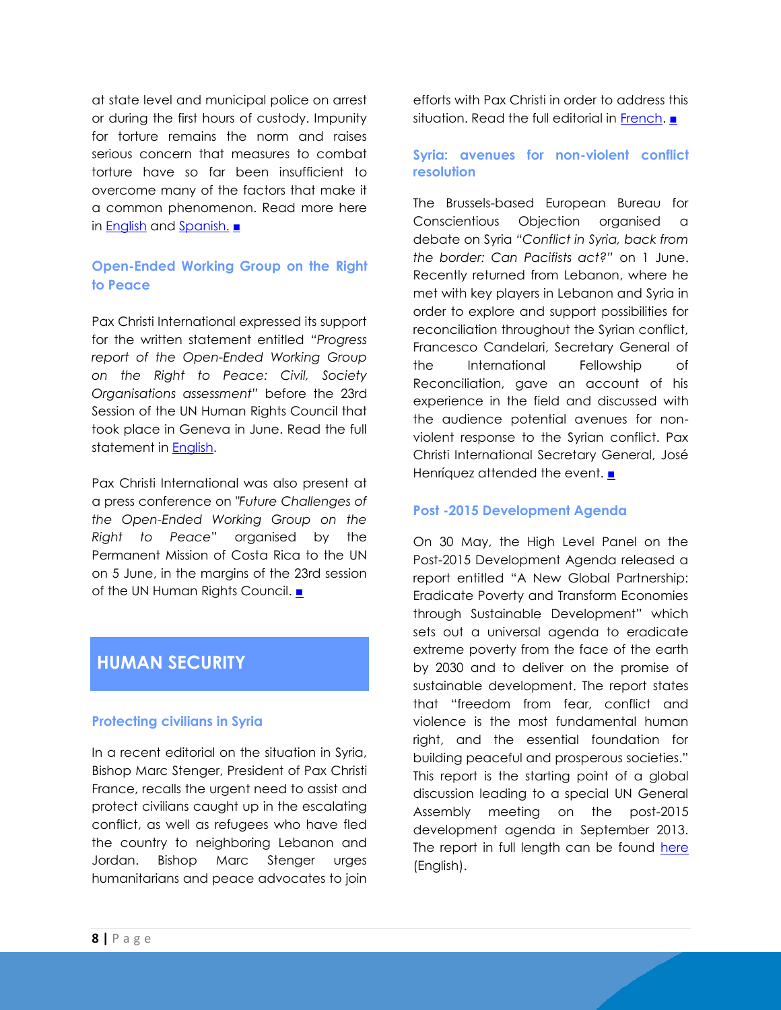at state level and municipal police on arrest or during the first hours of custody. Impunity for torture remains the norm and raises serious concern that measures to combat torture have so far been insufficient to overcome many of the factors that make it a common phenomenon. Read more here in [English](http://archive.paxchristi.net/2013/2013-0290-en-am-AC.pdf) and [Spanish.](http://archive.paxchristi.net/2013/2013-0289-es-am-AC.pdf) [■](#page-0-0)

### **Open-Ended Working Group on the Right to Peace**

Pax Christi International expressed its support for the written statement entitled *"Progress report of the Open-Ended Working Group on the Right to Peace: Civil, Society Organisations assessment"* before the 23rd Session of the UN Human Rights Council that took place in Geneva in June. Read the full statement in **English**.

Pax Christi International was also present at a press conference on *"Future Challenges of the Open-Ended Working Group on the Right to Peace*" organised by the Permanent Mission of Costa Rica to the UN on 5 June, in the margins of the 23rd session of the UN Human Rights Council. [■](#page-0-0)

## **HUMAN SECURITY**

### **Protecting civilians in Syria**

In a recent editorial on the situation in Syria, Bishop Marc Stenger, President of Pax Christi France, recalls the urgent need to assist and protect civilians caught up in the escalating conflict, as well as refugees who have fled the country to neighboring Lebanon and Jordan. Bishop Marc Stenger urges humanitarians and peace advocates to join

efforts with Pax Christi in order to address this situation. Read the full editorial in [French.](http://archive.paxchristi.net/2013/2013-0282-fr-me-HR.pdf) [■](#page-0-0)

### **Syria: avenues for non-violent conflict resolution**

The Brussels-based European Bureau for Conscientious Objection organised a debate on Syria *"Conflict in Syria, back from the border: Can Pacifists act?"* on 1 June. Recently returned from Lebanon, where he met with key players in Lebanon and Syria in order to explore and support possibilities for reconciliation throughout the Syrian conflict, Francesco Candelari, Secretary General of the International Fellowship of Reconciliation, gave an account of his experience in the field and discussed with the audience potential avenues for nonviolent response to the Syrian conflict. Pax Christi International Secretary General, José Henríquez attended the event. [■](#page-0-0)

### **Post -2015 Development Agenda**

On 30 May, the High Level Panel on the Post-2015 Development Agenda released a report entitled "A New Global Partnership: Eradicate Poverty and Transform Economies through Sustainable Development" which sets out a universal agenda to eradicate extreme poverty from the face of the earth by 2030 and to deliver on the promise of sustainable development. The report states that "freedom from fear, conflict and violence is the most fundamental human right, and the essential foundation for building peaceful and prosperous societies." This report is the starting point of a global discussion leading to a special UN General Assembly meeting on the post-2015 development agenda in September 2013. The report in full length can be found [here](http://www.post2015hlp.org/wp-content/uploads/2013/05/UN-Report.pdf) (English).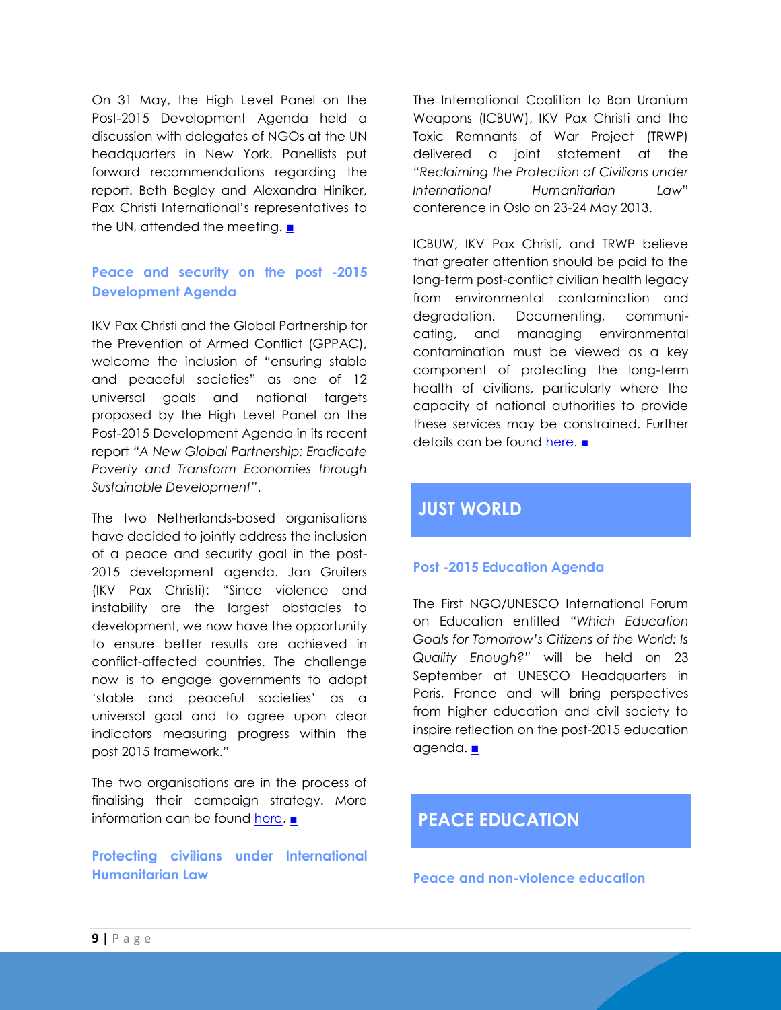On 31 May, the High Level Panel on the Post-2015 Development Agenda held a discussion with delegates of NGOs at the UN headquarters in New York. Panellists put forward recommendations regarding the report. Beth Begley and Alexandra Hiniker, Pax Christi International's representatives to the UN, attended the meeting. [■](#page-0-0)

### **Peace and security on the post -2015 Development Agenda**

IKV Pax Christi and the Global Partnership for the Prevention of Armed Conflict (GPPAC), welcome the inclusion of "ensuring stable and peaceful societies" as one of 12 universal goals and national targets proposed by the High Level Panel on the Post-2015 Development Agenda in its recent report *"A New Global Partnership: Eradicate Poverty and Transform Economies through Sustainable Development"*.

The two Netherlands-based organisations have decided to jointly address the inclusion of a peace and security goal in the post-2015 development agenda. Jan Gruiters (IKV Pax Christi): "Since violence and instability are the largest obstacles to development, we now have the opportunity to ensure better results are achieved in conflict-affected countries. The challenge now is to engage governments to adopt 'stable and peaceful societies' as a universal goal and to agree upon clear indicators measuring progress within the post 2015 framework."

The two organisations are in the process of finalising their campaign strategy. More information can be found [here.](http://archive.paxchristi.net/2013/2013-0283-en-gl-HS.pdf) [■](#page-0-0)

**Protecting civilians under International Humanitarian Law**

The International Coalition to Ban Uranium Weapons (ICBUW), IKV Pax Christi and the Toxic Remnants of War Project (TRWP) delivered a joint statement at the *"Reclaiming the Protection of Civilians under International Humanitarian Law"* conference in Oslo on 23-24 May 2013.

ICBUW, IKV Pax Christi, and TRWP believe that greater attention should be paid to the long-term post-conflict civilian health legacy from environmental contamination and degradation. Documenting, communicating, and managing environmental contamination must be viewed as a key component of protecting the long-term health of civilians, particularly where the capacity of national authorities to provide these services may be constrained. Further details can be found [here.](http://www.toxicremnantsofwar.info/trw-and-the-protection-of-civilians-under-ihl-statement/) [■](#page-0-0)

# **JUST WORLD**

### **Post -2015 Education Agenda**

The First NGO/UNESCO International Forum on Education entitled *"Which Education Goals for Tomorrow's Citizens of the World: Is Quality Enough?"* will be held on 23 September at UNESCO Headquarters in Paris, France and will bring perspectives from higher education and civil society to inspire reflection on the post-2015 education agenda. [■](#page-0-0)

# **PEACE EDUCATION**

**Peace and non-violence education**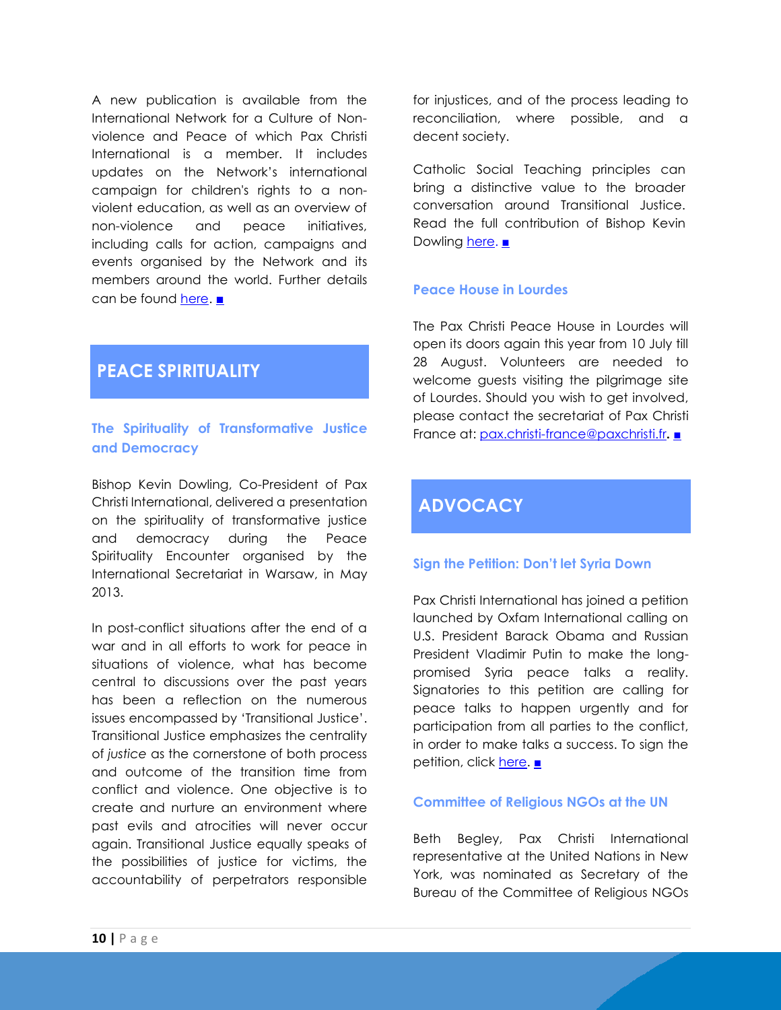A new publication is available from the International Network for a Culture of Nonviolence and Peace of which Pax Christi International is a member. It includes updates on the Network's international campaign for children's rights to a nonviolent education, as well as an overview of non-violence and peace initiatives, including calls for action, campaigns and events organised by the Network and its members around the world. Further details can be found [here.](http://us5.campaign-archive1.com/?u=43ba9aedafe80d4655240e219&id=d70689d017&e=4e4286ddae) [■](#page-0-0)

# **PEACE SPIRITUALITY**

### **The Spirituality of Transformative Justice and Democracy**

Bishop Kevin Dowling, Co-President of Pax Christi International, delivered a presentation on the spirituality of transformative justice and democracy during the Peace Spirituality Encounter organised by the International Secretariat in Warsaw, in May 2013.

In post-conflict situations after the end of a war and in all efforts to work for peace in situations of violence, what has become central to discussions over the past years has been a reflection on the numerous issues encompassed by 'Transitional Justice'. Transitional Justice emphasizes the centrality of *justice* as the cornerstone of both process and outcome of the transition time from conflict and violence. One objective is to create and nurture an environment where past evils and atrocities will never occur again. Transitional Justice equally speaks of the possibilities of justice for victims, the accountability of perpetrators responsible

for injustices, and of the process leading to reconciliation, where possible, and a decent society.

Catholic Social Teaching principles can bring a distinctive value to the broader conversation around Transitional Justice. Read the full contribution of Bishop Kevin Dowling [here.](http://archive.paxchristi.net/2013/2013-0226-en-gl-PS.pdf) [■](#page-0-0)

### **Peace House in Lourdes**

The Pax Christi Peace House in Lourdes will open its doors again this year from 10 July till 28 August. Volunteers are needed to welcome guests visiting the pilgrimage site of Lourdes. Should you wish to get involved, please contact the secretariat of Pax Christi France at: [pax.christi-france@paxchristi.fr](mailto:pax.christi-france@paxchristi.fr)**.** [■](#page-0-0)

# **ADVOCACY**

### **Sign the Petition: Don't let Syria Down**

Pax Christi International has joined a petition launched by Oxfam International calling on U.S. President Barack Obama and Russian President Vladimir Putin to make the longpromised Syria peace talks a reality. Signatories to this petition are calling for peace talks to happen urgently and for participation from all parties to the conflict, in order to make talks a success. To sign the petition, click <u>here</u>. <u>[■](#page-0-0)</u>

### **Committee of Religious NGOs at the UN**

Beth Begley, Pax Christi International representative at the United Nations in New York, was nominated as Secretary of the Bureau of the Committee of Religious NGOs